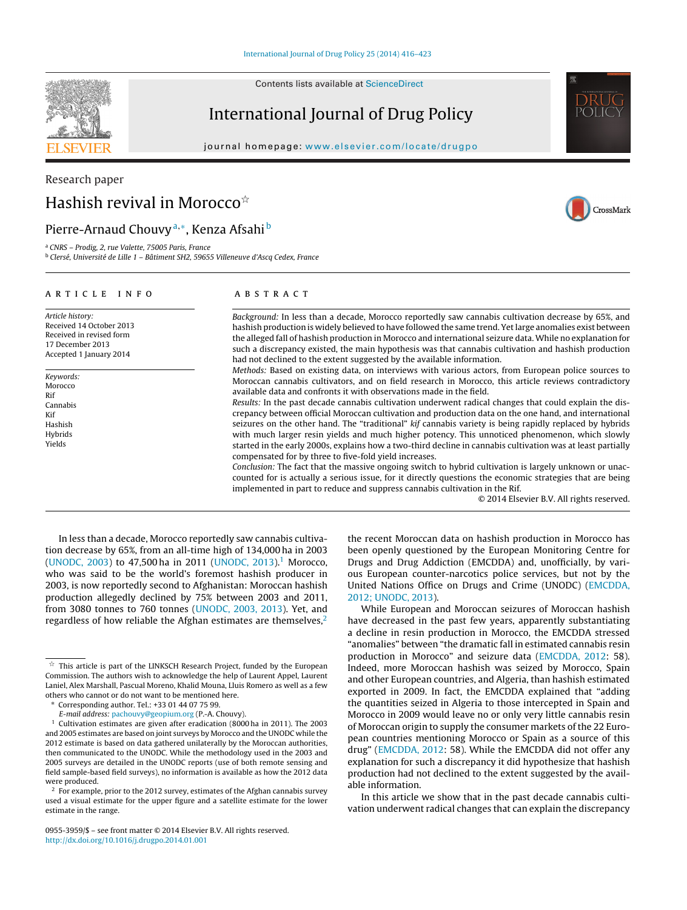Contents lists available at [ScienceDirect](http://www.sciencedirect.com/science/journal/09553959)

# International Journal of Drug Policy

journal homepage: [www.elsevier.com/locate/drugpo](http://www.elsevier.com/locate/drugpo)

# Research paper Hashish revival in Morocco $^{\scriptscriptstyle\mathrm{\mathop{\hat{\mathsf{m}}}}\nolimits}$

# Pierre-Arnaud Chouvy<sup>a,∗</sup>, Kenza Afsahi<sup>b</sup>

<sup>a</sup> CNRS – Prodig, 2, rue Valette, 75005 Paris, France

<sup>b</sup> Clersé, Université de Lille 1 – Bâtiment SH2, 59655 Villeneuve d'Ascq Cedex, France

### a r t i c l e i n f o

Article history: Received 14 October 2013 Received in revised form 17 December 2013 Accepted 1 January 2014

Keywords: Morocco Rif Cannabis Kif Hashish **Hybrids** Yields

### A B S T R A C T

Background: In less than a decade, Morocco reportedly saw cannabis cultivation decrease by 65%, and hashish production is widely believed to have followed the same trend. Yet large anomalies exist between the alleged fall of hashish production in Morocco and international seizure data. While no explanation for such a discrepancy existed, the main hypothesis was that cannabis cultivation and hashish production had not declined to the extent suggested by the available information.

Methods: Based on existing data, on interviews with various actors, from European police sources to Moroccan cannabis cultivators, and on field research in Morocco, this article reviews contradictory available data and confronts it with observations made in the field.

Results: In the past decade cannabis cultivation underwent radical changes that could explain the discrepancy between official Moroccan cultivation and production data on the one hand, and international seizures on the other hand. The "traditional" kif cannabis variety is being rapidly replaced by hybrids with much larger resin yields and much higher potency. This unnoticed phenomenon, which slowly started in the early 2000s, explains how a two-third decline in cannabis cultivation was at least partially compensated for by three to five-fold yield increases.

Conclusion: The fact that the massive ongoing switch to hybrid cultivation is largely unknown or unaccounted for is actually a serious issue, for it directly questions the economic strategies that are being implemented in part to reduce and suppress cannabis cultivation in the Rif.

© 2014 Elsevier B.V. All rights reserved.

In less than a decade, Morocco reportedly saw cannabis cultivation decrease by 65%, from an all-time high of 134,000 ha in 2003 ([UNODC,](#page-7-0) [2003\)](#page-7-0) to 47,500 ha in 2011 [\(UNODC,](#page-7-0) 2013).<sup>1</sup> Morocco, who was said to be the world's foremost hashish producer in 2003, is now reportedly second to Afghanistan: Moroccan hashish production allegedly declined by 75% between 2003 and 2011, from 3080 tonnes to 760 tonnes ([UNODC,](#page-7-0) [2003,](#page-7-0) [2013\).](#page-7-0) Yet, and regardless of how reliable the Afghan estimates are themselves, $2$ 

0955-3959/\$ – see front matter © 2014 Elsevier B.V. All rights reserved. [http://dx.doi.org/10.1016/j.drugpo.2014.01.001](dx.doi.org/10.1016/j.drugpo.2014.01.001)

the recent Moroccan data on hashish production in Morocco has been openly questioned by the European Monitoring Centre for Drugs and Drug Addiction (EMCDDA) and, unofficially, by various European counter-narcotics police services, but not by the United Nations Office on Drugs and Crime (UNODC) [\(EMCDDA,](#page-7-0) [2012;](#page-7-0) [UNODC,](#page-7-0) [2013\).](#page-7-0)

While European and Moroccan seizures of Moroccan hashish have decreased in the past few years, apparently substantiating a decline in resin production in Morocco, the EMCDDA stressed "anomalies" between "the dramatic fall in estimated cannabis resin production in Morocco" and seizure data ([EMCDDA,](#page-7-0) [2012:](#page-7-0) 58). Indeed, more Moroccan hashish was seized by Morocco, Spain and other European countries, and Algeria, than hashish estimated exported in 2009. In fact, the EMCDDA explained that "adding the quantities seized in Algeria to those intercepted in Spain and Morocco in 2009 would leave no or only very little cannabis resin of Moroccan origin to supply the consumer markets of the 22 European countries mentioning Morocco or Spain as a source of this drug" [\(EMCDDA,](#page-7-0) [2012:](#page-7-0) 58). While the EMCDDA did not offer any explanation for such a discrepancy it did hypothesize that hashish production had not declined to the extent suggested by the available information.

In this article we show that in the past decade cannabis cultivation underwent radical changes that can explain the discrepancy





CrossMark

 $\overline{\mathbf{x}}$  This article is part of the LINKSCH Research Project, funded by the European Commission. The authors wish to acknowledge the help of Laurent Appel, Laurent Laniel, Alex Marshall, Pascual Moreno, Khalid Mouna, Lluis Romero as well as a few others who cannot or do not want to be mentioned here.

Corresponding author. Tel.: +33 01 44 07 75 99.

E-mail address: [pachouvy@geopium.org](mailto:pachouvy@geopium.org) (P.-A. Chouvy).

<sup>1</sup> Cultivation estimates are given after eradication (8000 ha in 2011). The 2003 and 2005 estimates are based on joint surveys by Morocco and the UNODC while the 2012 estimate is based on data gathered unilaterally by the Moroccan authorities, then communicated to the UNODC. While the methodology used in the 2003 and 2005 surveys are detailed in the UNODC reports (use of both remote sensing and field sample-based field surveys), no information is available as how the 2012 data were produced.

 $2\overline{2}$  For example, prior to the 2012 survey, estimates of the Afghan cannabis survey used a visual estimate for the upper figure and a satellite estimate for the lower estimate in the range.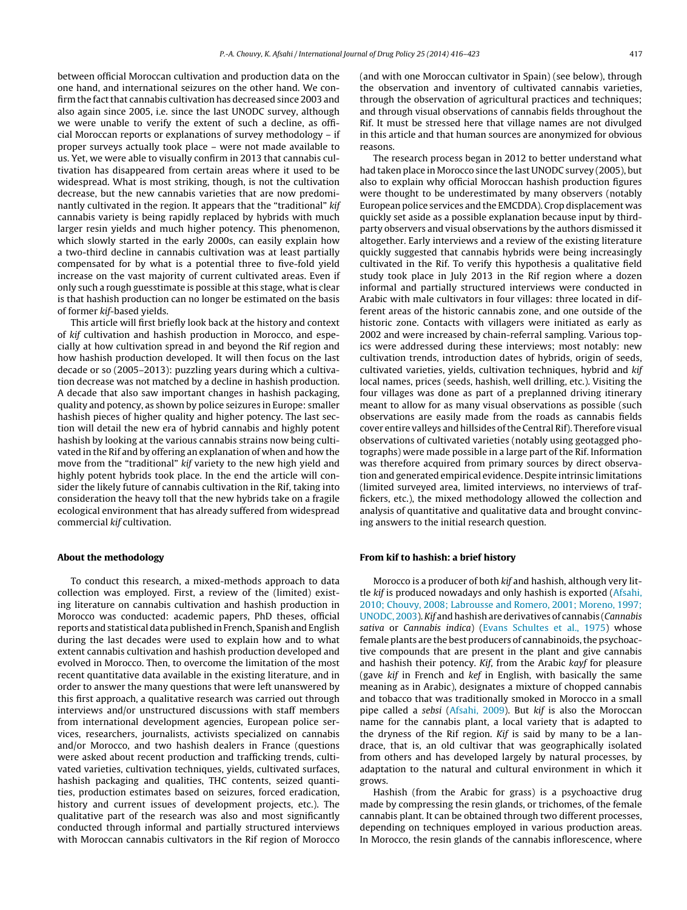between official Moroccan cultivation and production data on the one hand, and international seizures on the other hand. We confirm the fact that cannabis cultivation has decreased since 2003 and also again since 2005, i.e. since the last UNODC survey, although we were unable to verify the extent of such a decline, as official Moroccan reports or explanations of survey methodology – if proper surveys actually took place – were not made available to us. Yet, we were able to visually confirm in 2013 that cannabis cultivation has disappeared from certain areas where it used to be widespread. What is most striking, though, is not the cultivation decrease, but the new cannabis varieties that are now predominantly cultivated in the region. It appears that the "traditional" kif cannabis variety is being rapidly replaced by hybrids with much larger resin yields and much higher potency. This phenomenon, which slowly started in the early 2000s, can easily explain how a two-third decline in cannabis cultivation was at least partially compensated for by what is a potential three to five-fold yield increase on the vast majority of current cultivated areas. Even if only such a rough guesstimate is possible at this stage, what is clear is that hashish production can no longer be estimated on the basis of former kif-based yields.

This article will first briefly look back at the history and context of kif cultivation and hashish production in Morocco, and especially at how cultivation spread in and beyond the Rif region and how hashish production developed. It will then focus on the last decade or so (2005–2013): puzzling years during which a cultivation decrease was not matched by a decline in hashish production. A decade that also saw important changes in hashish packaging, quality and potency, as shown by police seizures in Europe: smaller hashish pieces of higher quality and higher potency. The last section will detail the new era of hybrid cannabis and highly potent hashish by looking at the various cannabis strains now being cultivated in the Rif and by offering an explanation of when and how the move from the "traditional" kif variety to the new high yield and highly potent hybrids took place. In the end the article will consider the likely future of cannabis cultivation in the Rif, taking into consideration the heavy toll that the new hybrids take on a fragile ecological environment that has already suffered from widespread commercial kif cultivation.

#### **About the methodology**

To conduct this research, a mixed-methods approach to data collection was employed. First, a review of the (limited) existing literature on cannabis cultivation and hashish production in Morocco was conducted: academic papers, PhD theses, official reports and statistical data published inFrench, Spanishand English during the last decades were used to explain how and to what extent cannabis cultivation and hashish production developed and evolved in Morocco. Then, to overcome the limitation of the most recent quantitative data available in the existing literature, and in order to answer the many questions that were left unanswered by this first approach, a qualitative research was carried out through interviews and/or unstructured discussions with staff members from international development agencies, European police services, researchers, journalists, activists specialized on cannabis and/or Morocco, and two hashish dealers in France (questions were asked about recent production and trafficking trends, cultivated varieties, cultivation techniques, yields, cultivated surfaces, hashish packaging and qualities, THC contents, seized quantities, production estimates based on seizures, forced eradication, history and current issues of development projects, etc.). The qualitative part of the research was also and most significantly conducted through informal and partially structured interviews with Moroccan cannabis cultivators in the Rif region of Morocco (and with one Moroccan cultivator in Spain) (see below), through the observation and inventory of cultivated cannabis varieties, through the observation of agricultural practices and techniques; and through visual observations of cannabis fields throughout the Rif. It must be stressed here that village names are not divulged in this article and that human sources are anonymized for obvious reasons.

The research process began in 2012 to better understand what had taken place in Morocco since the last UNODC survey (2005), but also to explain why official Moroccan hashish production figures were thought to be underestimated by many observers (notably European police services and the EMCDDA). Crop displacement was quickly set aside as a possible explanation because input by thirdparty observers and visual observations by the authors dismissed it altogether. Early interviews and a review of the existing literature quickly suggested that cannabis hybrids were being increasingly cultivated in the Rif. To verify this hypothesis a qualitative field study took place in July 2013 in the Rif region where a dozen informal and partially structured interviews were conducted in Arabic with male cultivators in four villages: three located in different areas of the historic cannabis zone, and one outside of the historic zone. Contacts with villagers were initiated as early as 2002 and were increased by chain-referral sampling. Various topics were addressed during these interviews; most notably: new cultivation trends, introduction dates of hybrids, origin of seeds, cultivated varieties, yields, cultivation techniques, hybrid and kif local names, prices (seeds, hashish, well drilling, etc.). Visiting the four villages was done as part of a preplanned driving itinerary meant to allow for as many visual observations as possible (such observations are easily made from the roads as cannabis fields cover entire valleys and hillsides ofthe Central Rif). Therefore visual observations of cultivated varieties (notably using geotagged photographs) were made possible in a large part of the Rif. Information was therefore acquired from primary sources by direct observation and generated empirical evidence. Despite intrinsic limitations (limited surveyed area, limited interviews, no interviews of traffickers, etc.), the mixed methodology allowed the collection and analysis of quantitative and qualitative data and brought convincing answers to the initial research question.

#### **From kif to hashish: a brief history**

Morocco is a producer of both kif and hashish, although very little kif is produced nowadays and only hashish is exported [\(Afsahi,](#page-7-0) [2010;](#page-7-0) [Chouvy,](#page-7-0) [2008;](#page-7-0) [Labrousse](#page-7-0) [and](#page-7-0) [Romero,](#page-7-0) [2001;](#page-7-0) [Moreno,](#page-7-0) [1997;](#page-7-0) [UNODC,](#page-7-0) [2003\).](#page-7-0)Kif and hashish are derivatives of cannabis (Cannabis sativa or Cannabis indica) ([Evans](#page-7-0) [Schultes](#page-7-0) et [al.,](#page-7-0) [1975\)](#page-7-0) whose female plants are the best producers of cannabinoids, the psychoactive compounds that are present in the plant and give cannabis and hashish their potency. Kif, from the Arabic kayf for pleasure (gave kif in French and kef in English, with basically the same meaning as in Arabic), designates a mixture of chopped cannabis and tobacco that was traditionally smoked in Morocco in a small pipe called a sebsi [\(Afsahi,](#page-7-0) [2009\).](#page-7-0) But kif is also the Moroccan name for the cannabis plant, a local variety that is adapted to the dryness of the Rif region. Kif is said by many to be a landrace, that is, an old cultivar that was geographically isolated from others and has developed largely by natural processes, by adaptation to the natural and cultural environment in which it grows.

Hashish (from the Arabic for grass) is a psychoactive drug made by compressing the resin glands, or trichomes, of the female cannabis plant. It can be obtained through two different processes, depending on techniques employed in various production areas. In Morocco, the resin glands of the cannabis inflorescence, where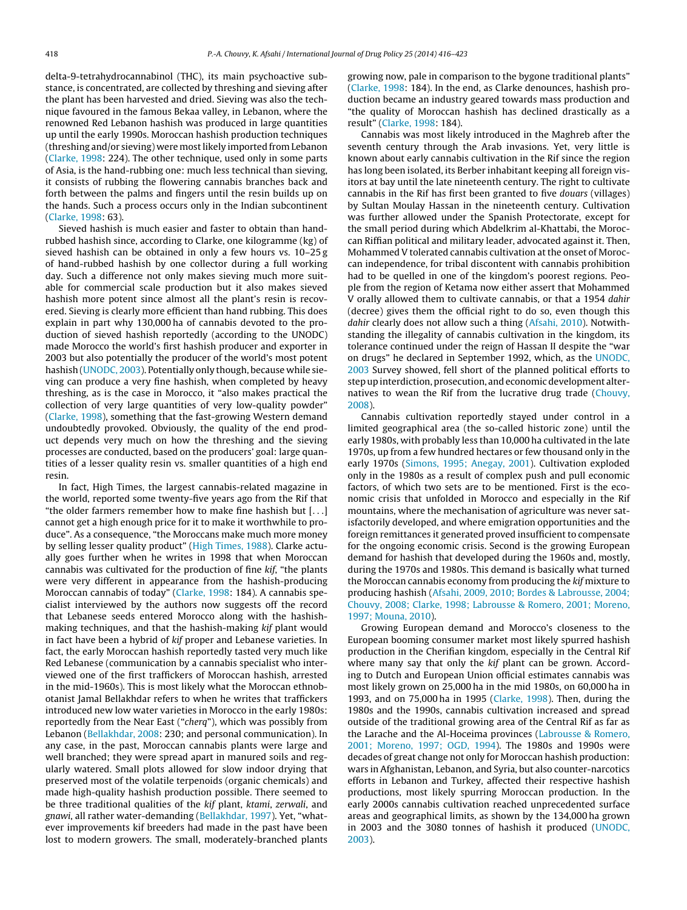delta-9-tetrahydrocannabinol (THC), its main psychoactive substance, is concentrated, are collected by threshing and sieving after the plant has been harvested and dried. Sieving was also the technique favoured in the famous Bekaa valley, in Lebanon, where the renowned Red Lebanon hashish was produced in large quantities up until the early 1990s. Moroccan hashish production techniques (threshing and/or sieving) were mostlikely imported from Lebanon ([Clarke,](#page-7-0) [1998:](#page-7-0) 224). The other technique, used only in some parts of Asia, is the hand-rubbing one: much less technical than sieving, it consists of rubbing the flowering cannabis branches back and forth between the palms and fingers until the resin builds up on the hands. Such a process occurs only in the Indian subcontinent ([Clarke,](#page-7-0) [1998:](#page-7-0) 63).

Sieved hashish is much easier and faster to obtain than handrubbed hashish since, according to Clarke, one kilogramme (kg) of sieved hashish can be obtained in only a few hours vs. 10–25 g of hand-rubbed hashish by one collector during a full working day. Such a difference not only makes sieving much more suitable for commercial scale production but it also makes sieved hashish more potent since almost all the plant's resin is recovered. Sieving is clearly more efficient than hand rubbing. This does explain in part why 130,000 ha of cannabis devoted to the production of sieved hashish reportedly (according to the UNODC) made Morocco the world's first hashish producer and exporter in 2003 but also potentially the producer of the world's most potent hashish ([UNODC,](#page-7-0) [2003\).](#page-7-0) Potentially only though, because while sieving can produce a very fine hashish, when completed by heavy threshing, as is the case in Morocco, it "also makes practical the collection of very large quantities of very low-quality powder" ([Clarke,](#page-7-0) [1998\),](#page-7-0) something that the fast-growing Western demand undoubtedly provoked. Obviously, the quality of the end product depends very much on how the threshing and the sieving processes are conducted, based on the producers' goal: large quantities of a lesser quality resin vs. smaller quantities of a high end resin.

In fact, High Times, the largest cannabis-related magazine in the world, reported some twenty-five years ago from the Rif that "the older farmers remember how to make fine hashish but [. . .] cannot get a high enough price for it to make it worthwhile to produce". As a consequence, "the Moroccans make much more money by selling lesser quality product" [\(High](#page-7-0) [Times,](#page-7-0) [1988\).](#page-7-0) Clarke actually goes further when he writes in 1998 that when Moroccan cannabis was cultivated for the production of fine kif, "the plants were very different in appearance from the hashish-producing Moroccan cannabis of today" [\(Clarke,](#page-7-0) [1998:](#page-7-0) 184). A cannabis specialist interviewed by the authors now suggests off the record that Lebanese seeds entered Morocco along with the hashishmaking techniques, and that the hashish-making kif plant would in fact have been a hybrid of kif proper and Lebanese varieties. In fact, the early Moroccan hashish reportedly tasted very much like Red Lebanese (communication by a cannabis specialist who interviewed one of the first traffickers of Moroccan hashish, arrested in the mid-1960s). This is most likely what the Moroccan ethnobotanist Jamal Bellakhdar refers to when he writes that traffickers introduced new low water varieties in Morocco in the early 1980s: reportedly from the Near East ("cherq"), which was possibly from Lebanon [\(Bellakhdar,](#page-7-0) [2008:](#page-7-0) 230; and personal communication). In any case, in the past, Moroccan cannabis plants were large and well branched; they were spread apart in manured soils and regularly watered. Small plots allowed for slow indoor drying that preserved most of the volatile terpenoids (organic chemicals) and made high-quality hashish production possible. There seemed to be three traditional qualities of the kif plant, ktami, zerwali, and gnawi, all rather water-demanding [\(Bellakhdar,](#page-7-0) [1997\).](#page-7-0) Yet, "whatever improvements kif breeders had made in the past have been lost to modern growers. The small, moderately-branched plants

growing now, pale in comparison to the bygone traditional plants" [\(Clarke,](#page-7-0) [1998:](#page-7-0) 184). In the end, as Clarke denounces, hashish production became an industry geared towards mass production and "the quality of Moroccan hashish has declined drastically as a result" [\(Clarke,](#page-7-0) [1998:](#page-7-0) 184).

Cannabis was most likely introduced in the Maghreb after the seventh century through the Arab invasions. Yet, very little is known about early cannabis cultivation in the Rif since the region has long been isolated, its Berber inhabitant keeping all foreign visitors at bay until the late nineteenth century. The right to cultivate cannabis in the Rif has first been granted to five douars (villages) by Sultan Moulay Hassan in the nineteenth century. Cultivation was further allowed under the Spanish Protectorate, except for the small period during which Abdelkrim al-Khattabi, the Moroccan Riffian political and military leader, advocated against it. Then, Mohammed V tolerated cannabis cultivation at the onset of Moroccan independence, for tribal discontent with cannabis prohibition had to be quelled in one of the kingdom's poorest regions. People from the region of Ketama now either assert that Mohammed V orally allowed them to cultivate cannabis, or that a 1954 dahir (decree) gives them the official right to do so, even though this dahir clearly does not allow such a thing [\(Afsahi,](#page-7-0) [2010\).](#page-7-0) Notwithstanding the illegality of cannabis cultivation in the kingdom, its tolerance continued under the reign of Hassan II despite the "war on drugs" he declared in September 1992, which, as the [UNODC,](#page-7-0) [2003](#page-7-0) Survey showed, fell short of the planned political efforts to step up interdiction, prosecution, and economic development alternatives to wean the Rif from the lucrative drug trade [\(Chouvy,](#page-7-0) [2008\).](#page-7-0)

Cannabis cultivation reportedly stayed under control in a limited geographical area (the so-called historic zone) until the early 1980s, with probably less than 10,000 ha cultivated in the late 1970s, up from a few hundred hectares or few thousand only in the early 1970s ([Simons,](#page-7-0) [1995;](#page-7-0) [Anegay,](#page-7-0) [2001\).](#page-7-0) Cultivation exploded only in the 1980s as a result of complex push and pull economic factors, of which two sets are to be mentioned. First is the economic crisis that unfolded in Morocco and especially in the Rif mountains, where the mechanisation of agriculture was never satisfactorily developed, and where emigration opportunities and the foreign remittances it generated proved insufficient to compensate for the ongoing economic crisis. Second is the growing European demand for hashish that developed during the 1960s and, mostly, during the 1970s and 1980s. This demand is basically what turned the Moroccan cannabis economy from producing the kif mixture to producing hashish [\(Afsahi,](#page-7-0) [2009,](#page-7-0) [2010;](#page-7-0) [Bordes](#page-7-0) [&](#page-7-0) [Labrousse,](#page-7-0) [2004;](#page-7-0) [Chouvy,](#page-7-0) [2008;](#page-7-0) [Clarke,](#page-7-0) [1998;](#page-7-0) [Labrousse](#page-7-0) [&](#page-7-0) [Romero,](#page-7-0) [2001;](#page-7-0) [Moreno,](#page-7-0) [1997;](#page-7-0) [Mouna,](#page-7-0) [2010\).](#page-7-0)

Growing European demand and Morocco's closeness to the European booming consumer market most likely spurred hashish production in the Cherifian kingdom, especially in the Central Rif where many say that only the kif plant can be grown. According to Dutch and European Union official estimates cannabis was most likely grown on 25,000 ha in the mid 1980s, on 60,000 ha in 1993, and on 75,000 ha in 1995 [\(Clarke,](#page-7-0) [1998\).](#page-7-0) Then, during the 1980s and the 1990s, cannabis cultivation increased and spread outside of the traditional growing area of the Central Rif as far as the Larache and the Al-Hoceima provinces ([Labrousse](#page-7-0) [&](#page-7-0) [Romero,](#page-7-0) [2001;](#page-7-0) [Moreno,](#page-7-0) [1997;](#page-7-0) [OGD,](#page-7-0) [1994\).](#page-7-0) The 1980s and 1990s were decades of great change not only for Moroccan hashish production: wars in Afghanistan, Lebanon, and Syria, but also counter-narcotics efforts in Lebanon and Turkey, affected their respective hashish productions, most likely spurring Moroccan production. In the early 2000s cannabis cultivation reached unprecedented surface areas and geographical limits, as shown by the 134,000 ha grown in 2003 and the 3080 tonnes of hashish it produced [\(UNODC,](#page-7-0) [2003\).](#page-7-0)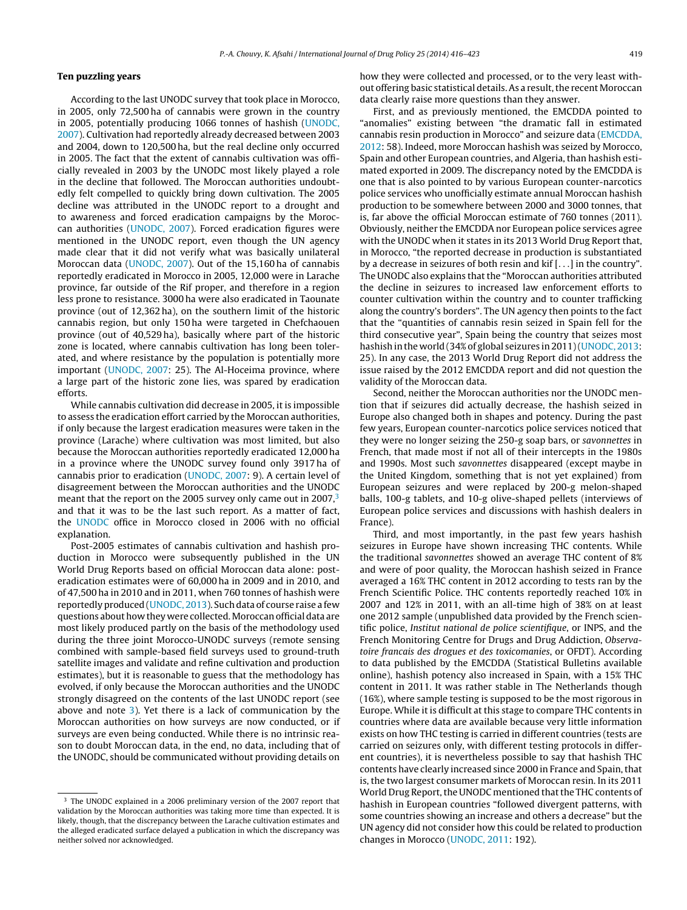#### **Ten puzzling years**

According to the last UNODC survey that took place in Morocco, in 2005, only 72,500 ha of cannabis were grown in the country in 2005, potentially producing 1066 tonnes of hashish [\(UNODC,](#page-7-0) [2007\).](#page-7-0) Cultivation had reportedly already decreased between 2003 and 2004, down to 120,500 ha, but the real decline only occurred in 2005. The fact that the extent of cannabis cultivation was officially revealed in 2003 by the UNODC most likely played a role in the decline that followed. The Moroccan authorities undoubtedly felt compelled to quickly bring down cultivation. The 2005 decline was attributed in the UNODC report to a drought and to awareness and forced eradication campaigns by the Moroccan authorities ([UNODC,](#page-7-0) [2007\).](#page-7-0) Forced eradication figures were mentioned in the UNODC report, even though the UN agency made clear that it did not verify what was basically unilateral Moroccan data [\(UNODC,](#page-7-0) [2007\).](#page-7-0) Out of the 15,160 ha of cannabis reportedly eradicated in Morocco in 2005, 12,000 were in Larache province, far outside of the Rif proper, and therefore in a region less prone to resistance. 3000 ha were also eradicated in Taounate province (out of 12,362 ha), on the southern limit of the historic cannabis region, but only 150 ha were targeted in Chefchaouen province (out of 40,529 ha), basically where part of the historic zone is located, where cannabis cultivation has long been tolerated, and where resistance by the population is potentially more important ([UNODC,](#page-7-0) [2007:](#page-7-0) 25). The Al-Hoceima province, where a large part of the historic zone lies, was spared by eradication efforts.

While cannabis cultivation did decrease in 2005, it is impossible to assess the eradication effort carried by the Moroccan authorities, if only because the largest eradication measures were taken in the province (Larache) where cultivation was most limited, but also because the Moroccan authorities reportedly eradicated 12,000 ha in a province where the UNODC survey found only 3917 ha of cannabis prior to eradication [\(UNODC,](#page-7-0) [2007:](#page-7-0) 9). A certain level of disagreement between the Moroccan authorities and the UNODC meant that the report on the 2005 survey only came out in 2007, $3$ and that it was to be the last such report. As a matter of fact, the [UNODC](#page-7-0) office in Morocco closed in 2006 with no official explanation.

Post-2005 estimates of cannabis cultivation and hashish production in Morocco were subsequently published in the UN World Drug Reports based on official Moroccan data alone: posteradication estimates were of 60,000 ha in 2009 and in 2010, and of 47,500 ha in 2010 and in 2011, when 760 tonnes of hashish were reportedly produced ([UNODC,](#page-7-0) [2013\).](#page-7-0) Such data of course raise a few questions abouthow they were collected.Moroccanofficialdata are most likely produced partly on the basis of the methodology used during the three joint Morocco-UNODC surveys (remote sensing combined with sample-based field surveys used to ground-truth satellite images and validate and refine cultivation and production estimates), but it is reasonable to guess that the methodology has evolved, if only because the Moroccan authorities and the UNODC strongly disagreed on the contents of the last UNODC report (see above and note 3). Yet there is a lack of communication by the Moroccan authorities on how surveys are now conducted, or if surveys are even being conducted. While there is no intrinsic reason to doubt Moroccan data, in the end, no data, including that of the UNODC, should be communicated without providing details on

how they were collected and processed, or to the very least without offering basic statistical details. As a result, the recent Moroccan data clearly raise more questions than they answer.

First, and as previously mentioned, the EMCDDA pointed to "anomalies" existing between "the dramatic fall in estimated cannabis resin production in Morocco" and seizure data [\(EMCDDA,](#page-7-0) [2012:](#page-7-0) 58). Indeed, more Moroccan hashish was seized by Morocco, Spain and other European countries, and Algeria, than hashish estimated exported in 2009. The discrepancy noted by the EMCDDA is one that is also pointed to by various European counter-narcotics police services who unofficially estimate annual Moroccan hashish production to be somewhere between 2000 and 3000 tonnes, that is, far above the official Moroccan estimate of 760 tonnes (2011). Obviously, neither the EMCDDA nor European police services agree with the UNODC when it states in its 2013 World Drug Report that, in Morocco, "the reported decrease in production is substantiated by a decrease in seizures of both resin and kif [. . .] in the country". The UNODC also explains that the "Moroccan authorities attributed the decline in seizures to increased law enforcement efforts to counter cultivation within the country and to counter trafficking along the country's borders". The UN agency then points to the fact that the "quantities of cannabis resin seized in Spain fell for the third consecutive year", Spain being the country that seizes most hashish in the world (34% of global seizures in 2011)([UNODC,](#page-7-0) [2013:](#page-7-0) 25). In any case, the 2013 World Drug Report did not address the issue raised by the 2012 EMCDDA report and did not question the validity of the Moroccan data.

Second, neither the Moroccan authorities nor the UNODC mention that if seizures did actually decrease, the hashish seized in Europe also changed both in shapes and potency. During the past few years, European counter-narcotics police services noticed that they were no longer seizing the 250-g soap bars, or savonnettes in French, that made most if not all of their intercepts in the 1980s and 1990s. Most such savonnettes disappeared (except maybe in the United Kingdom, something that is not yet explained) from European seizures and were replaced by 200-g melon-shaped balls, 100-g tablets, and 10-g olive-shaped pellets (interviews of European police services and discussions with hashish dealers in France).

Third, and most importantly, in the past few years hashish seizures in Europe have shown increasing THC contents. While the traditional savonnettes showed an average THC content of 8% and were of poor quality, the Moroccan hashish seized in France averaged a 16% THC content in 2012 according to tests ran by the French Scientific Police. THC contents reportedly reached 10% in 2007 and 12% in 2011, with an all-time high of 38% on at least one 2012 sample (unpublished data provided by the French scientific police, Institut national de police scientifique, or INPS, and the French Monitoring Centre for Drugs and Drug Addiction, Observatoire francais des drogues et des toxicomanies, or OFDT). According to data published by the EMCDDA (Statistical Bulletins available online), hashish potency also increased in Spain, with a 15% THC content in 2011. It was rather stable in The Netherlands though (16%), where sample testing is supposed to be the most rigorous in Europe. While it is difficult at this stage to compare THC contents in countries where data are available because very little information exists on how THC testing is carried in different countries (tests are carried on seizures only, with different testing protocols in different countries), it is nevertheless possible to say that hashish THC contents have clearly increased since 2000 in France and Spain, that is, the two largest consumer markets of Moroccan resin. In its 2011 World Drug Report, the UNODC mentioned that the THC contents of hashish in European countries "followed divergent patterns, with some countries showing an increase and others a decrease" but the UN agency did not consider how this could be related to production changes in Morocco [\(UNODC,](#page-7-0) [2011:](#page-7-0) 192).

<sup>&</sup>lt;sup>3</sup> The UNODC explained in a 2006 preliminary version of the 2007 report that validation by the Moroccan authorities was taking more time than expected. It is likely, though, that the discrepancy between the Larache cultivation estimates and the alleged eradicated surface delayed a publication in which the discrepancy was neither solved nor acknowledged.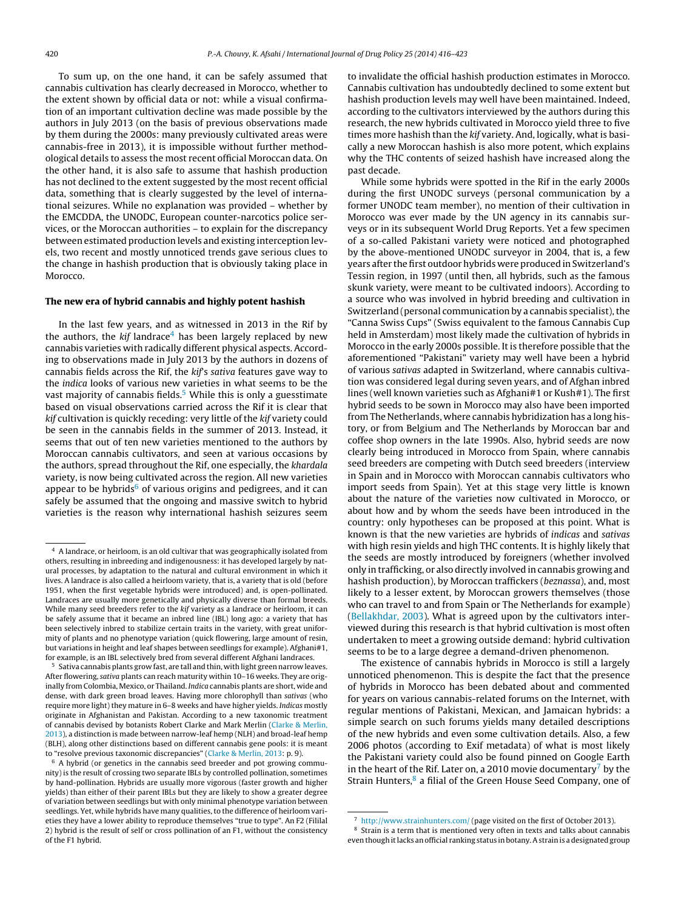To sum up, on the one hand, it can be safely assumed that cannabis cultivation has clearly decreased in Morocco, whether to the extent shown by official data or not: while a visual confirmation of an important cultivation decline was made possible by the authors in July 2013 (on the basis of previous observations made by them during the 2000s: many previously cultivated areas were cannabis-free in 2013), it is impossible without further methodological details to assess the most recent official Moroccan data. On the other hand, it is also safe to assume that hashish production has not declined to the extent suggested by the most recent official data, something that is clearly suggested by the level of international seizures. While no explanation was provided – whether by the EMCDDA, the UNODC, European counter-narcotics police services, or the Moroccan authorities – to explain for the discrepancy between estimated production levels and existing interception levels, two recent and mostly unnoticed trends gave serious clues to the change in hashish production that is obviously taking place in Morocco.

#### **The new era of hybrid cannabis and highly potent hashish**

In the last few years, and as witnessed in 2013 in the Rif by the authors, the kif landrace<sup>4</sup> has been largely replaced by new cannabis varieties with radically different physical aspects. According to observations made in July 2013 by the authors in dozens of cannabis fields across the Rif, the kif's sativa features gave way to the indica looks of various new varieties in what seems to be the vast majority of cannabis fields.<sup>5</sup> While this is only a guesstimate based on visual observations carried across the Rif it is clear that kif cultivation is quickly receding: very little of the kif variety could be seen in the cannabis fields in the summer of 2013. Instead, it seems that out of ten new varieties mentioned to the authors by Moroccan cannabis cultivators, and seen at various occasions by the authors, spread throughout the Rif, one especially, the khardala variety, is now being cultivated across the region. All new varieties appear to be hybrids $6$  of various origins and pedigrees, and it can safely be assumed that the ongoing and massive switch to hybrid varieties is the reason why international hashish seizures seem

to invalidate the official hashish production estimates in Morocco. Cannabis cultivation has undoubtedly declined to some extent but hashish production levels may well have been maintained. Indeed, according to the cultivators interviewed by the authors during this research, the new hybrids cultivated in Morocco yield three to five times more hashish than the kif variety. And, logically, what is basically a new Moroccan hashish is also more potent, which explains why the THC contents of seized hashish have increased along the past decade.

While some hybrids were spotted in the Rif in the early 2000s during the first UNODC surveys (personal communication by a former UNODC team member), no mention of their cultivation in Morocco was ever made by the UN agency in its cannabis surveys or in its subsequent World Drug Reports. Yet a few specimen of a so-called Pakistani variety were noticed and photographed by the above-mentioned UNODC surveyor in 2004, that is, a few years after the first outdoor hybrids were produced in Switzerland's Tessin region, in 1997 (until then, all hybrids, such as the famous skunk variety, were meant to be cultivated indoors). According to a source who was involved in hybrid breeding and cultivation in Switzerland (personal communication by a cannabis specialist), the "Canna Swiss Cups" (Swiss equivalent to the famous Cannabis Cup held in Amsterdam) most likely made the cultivation of hybrids in Morocco in the early 2000s possible. It is therefore possible that the aforementioned "Pakistani" variety may well have been a hybrid of various sativas adapted in Switzerland, where cannabis cultivation was considered legal during seven years, and of Afghan inbred lines (well known varieties such as Afghani#1 or Kush#1). The first hybrid seeds to be sown in Morocco may also have been imported from The Netherlands, where cannabis hybridization has a long history, or from Belgium and The Netherlands by Moroccan bar and coffee shop owners in the late 1990s. Also, hybrid seeds are now clearly being introduced in Morocco from Spain, where cannabis seed breeders are competing with Dutch seed breeders (interview in Spain and in Morocco with Moroccan cannabis cultivators who import seeds from Spain). Yet at this stage very little is known about the nature of the varieties now cultivated in Morocco, or about how and by whom the seeds have been introduced in the country: only hypotheses can be proposed at this point. What is known is that the new varieties are hybrids of indicas and sativas with high resin yields and high THC contents. It is highly likely that the seeds are mostly introduced by foreigners (whether involved only in trafficking, or also directly involved in cannabis growing and hashish production), by Moroccan traffickers (beznassa), and, most likely to a lesser extent, by Moroccan growers themselves (those who can travel to and from Spain or The Netherlands for example) [\(Bellakhdar,](#page-7-0) [2003\).](#page-7-0) What is agreed upon by the cultivators interviewed during this research is that hybrid cultivation is most often undertaken to meet a growing outside demand: hybrid cultivation seems to be to a large degree a demand-driven phenomenon.

The existence of cannabis hybrids in Morocco is still a largely unnoticed phenomenon. This is despite the fact that the presence of hybrids in Morocco has been debated about and commented for years on various cannabis-related forums on the Internet, with regular mentions of Pakistani, Mexican, and Jamaican hybrids: a simple search on such forums yields many detailed descriptions of the new hybrids and even some cultivation details. Also, a few 2006 photos (according to Exif metadata) of what is most likely the Pakistani variety could also be found pinned on Google Earth in the heart of the Rif. Later on, a 2010 movie documentary<sup>7</sup> by the Strain Hunters,<sup>8</sup> a filial of the Green House Seed Company, one of

<sup>4</sup> A landrace, or heirloom, is an old cultivar that was geographically isolated from others, resulting in inbreeding and indigenousness: it has developed largely by natural processes, by adaptation to the natural and cultural environment in which it lives. A landrace is also called a heirloom variety, that is, a variety that is old (before 1951, when the first vegetable hybrids were introduced) and, is open-pollinated. Landraces are usually more genetically and physically diverse than formal breeds. While many seed breeders refer to the kif variety as a landrace or heirloom, it can be safely assume that it became an inbred line (IBL) long ago: a variety that has been selectively inbred to stabilize certain traits in the variety, with great uniformity of plants and no phenotype variation (quick flowering, large amount of resin, but variations in height and leaf shapes between seedlings for example). Afghani#1, for example, is an IBL selectively bred from several different Afghani landraces.

<sup>5</sup> Sativa cannabis plants grow fast, are tall and thin, with light green narrow leaves. After flowering, sativa plants can reach maturity within 10–16 weeks. They are originally from Colombia, Mexico, or Thailand. Indica cannabis plants are short, wide and dense, with dark green broad leaves. Having more chlorophyll than sativas (who require more light) they mature in 6–8 weeks and have higher yields. Indicas mostly originate in Afghanistan and Pakistan. According to a new taxonomic treatment of cannabis devised by botanists Robert Clarke and Mark Merlin ([Clarke](#page-7-0) [&](#page-7-0) [Merlin,](#page-7-0) [2013\),](#page-7-0) a distinction is made between narrow-leaf hemp (NLH) and broad-leaf hemp (BLH), along other distinctions based on different cannabis gene pools: it is meant to "resolve previous taxonomic discrepancies" ([Clarke](#page-7-0) [&](#page-7-0) [Merlin,](#page-7-0) [2013:](#page-7-0) p. 9).<br><sup>6</sup> A hybrid (or genetics in the cannabis seed breeder and pot growing commu-

nity) is the result of crossing two separate IBLs by controlled pollination, sometimes by hand-pollination. Hybrids are usually more vigorous (faster growth and higher yields) than either of their parent IBLs but they are likely to show a greater degree of variation between seedlings but with only minimal phenotype variation between seedlings. Yet, while hybrids have many qualities, to the difference of heirloom varieties they have a lower ability to reproduce themselves "true to type". An F2 (Fililal 2) hybrid is the result of self or cross pollination of an F1, without the consistency of the F1 hybrid.

<http://www.strainhunters.com/> (page visited on the first of October 2013).

<sup>8</sup> Strain is a term that is mentioned very often in texts and talks about cannabis even though it lacks an official ranking status in botany. A strain is a designated group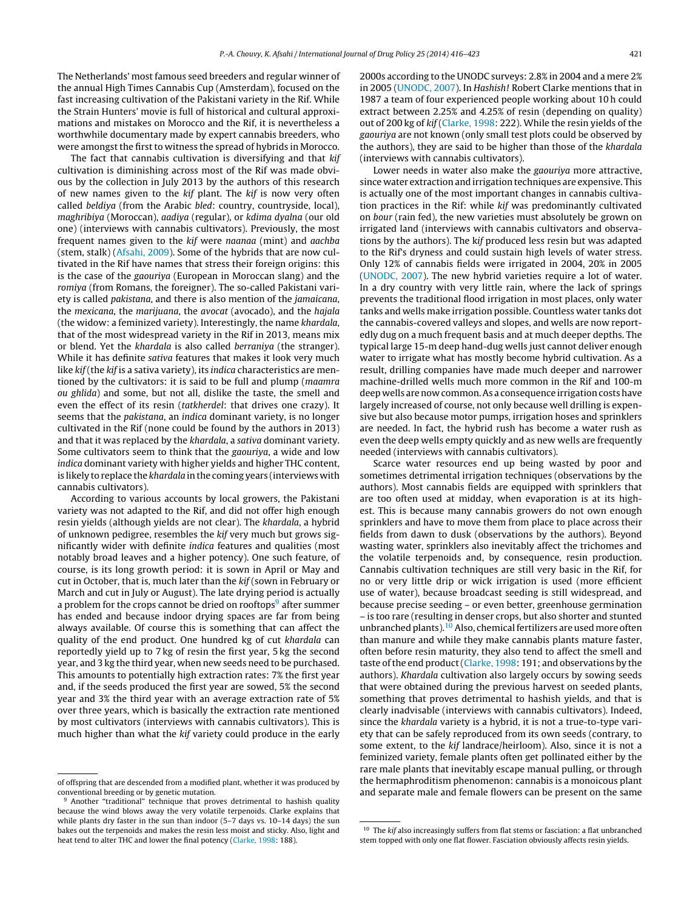The Netherlands' most famous seed breeders and regular winner of the annual High Times Cannabis Cup (Amsterdam), focused on the fast increasing cultivation of the Pakistani variety in the Rif. While the Strain Hunters' movie is full of historical and cultural approximations and mistakes on Morocco and the Rif, it is nevertheless a worthwhile documentary made by expert cannabis breeders, who were amongst the first to witness the spread of hybrids in Morocco.

The fact that cannabis cultivation is diversifying and that kif cultivation is diminishing across most of the Rif was made obvious by the collection in July 2013 by the authors of this research of new names given to the kif plant. The kif is now very often called beldiya (from the Arabic bled: country, countryside, local), maghribiya (Moroccan), aadiya (regular), or kdima dyalna (our old one) (interviews with cannabis cultivators). Previously, the most frequent names given to the kif were naanaa (mint) and aachba (stem, stalk) [\(Afsahi,](#page-7-0) [2009\).](#page-7-0) Some of the hybrids that are now cultivated in the Rif have names that stress their foreign origins: this is the case of the gaouriya (European in Moroccan slang) and the romiya (from Romans, the foreigner). The so-called Pakistani variety is called pakistana, and there is also mention of the jamaicana, the mexicana, the marijuana, the avocat (avocado), and the hajala (the widow: a feminized variety). Interestingly, the name khardala, that of the most widespread variety in the Rif in 2013, means mix or blend. Yet the khardala is also called berraniya (the stranger). While it has definite sativa features that makes it look very much like kif (the kif is a sativa variety), its indica characteristics are mentioned by the cultivators: it is said to be full and plump (maamra ou ghlida) and some, but not all, dislike the taste, the smell and even the effect of its resin (tatkherdel: that drives one crazy). It seems that the pakistana, an indica dominant variety, is no longer cultivated in the Rif (none could be found by the authors in 2013) and that it was replaced by the khardala, a sativa dominant variety. Some cultivators seem to think that the gaouriya, a wide and low indica dominant variety with higher yields and higher THC content, is likely to replace the khardala in the coming years (interviews with cannabis cultivators).

According to various accounts by local growers, the Pakistani variety was not adapted to the Rif, and did not offer high enough resin yields (although yields are not clear). The khardala, a hybrid of unknown pedigree, resembles the kif very much but grows significantly wider with definite indica features and qualities (most notably broad leaves and a higher potency). One such feature, of course, is its long growth period: it is sown in April or May and cut in October, that is, much later than the kif (sown in February or March and cut in July or August). The late drying period is actually a problem for the crops cannot be dried on rooftops<sup>9</sup> after summer has ended and because indoor drying spaces are far from being always available. Of course this is something that can affect the quality of the end product. One hundred kg of cut khardala can reportedly yield up to 7 kg of resin the first year, 5 kg the second year, and 3 kg the third year, when new seeds need to be purchased. This amounts to potentially high extraction rates: 7% the first year and, if the seeds produced the first year are sowed, 5% the second year and 3% the third year with an average extraction rate of 5% over three years, which is basically the extraction rate mentioned by most cultivators (interviews with cannabis cultivators). This is much higher than what the kif variety could produce in the early

2000s according to the UNODC surveys: 2.8% in 2004 and a mere 2% in 2005 ([UNODC,](#page-7-0) [2007\).](#page-7-0) In Hashish! Robert Clarke mentions that in 1987 a team of four experienced people working about 10 h could extract between 2.25% and 4.25% of resin (depending on quality) out of 200 kg of kif ([Clarke,](#page-7-0) [1998:](#page-7-0) 222). While the resin yields of the gaouriya are not known (only small test plots could be observed by the authors), they are said to be higher than those of the khardala (interviews with cannabis cultivators).

Lower needs in water also make the gaouriya more attractive, since water extraction and irrigation techniques are expensive. This is actually one of the most important changes in cannabis cultivation practices in the Rif: while kif was predominantly cultivated on bour (rain fed), the new varieties must absolutely be grown on irrigated land (interviews with cannabis cultivators and observations by the authors). The kif produced less resin but was adapted to the Rif's dryness and could sustain high levels of water stress. Only 12% of cannabis fields were irrigated in 2004, 20% in 2005 [\(UNODC,](#page-7-0) [2007\).](#page-7-0) The new hybrid varieties require a lot of water. In a dry country with very little rain, where the lack of springs prevents the traditional flood irrigation in most places, only water tanks and wells make irrigation possible. Countless water tanks dot the cannabis-covered valleys and slopes, and wells are now reportedly dug on a much frequent basis and at much deeper depths. The typical large 15-m deep hand-dug wells just cannot deliver enough water to irrigate what has mostly become hybrid cultivation. As a result, drilling companies have made much deeper and narrower machine-drilled wells much more common in the Rif and 100-m deep wells are now common. As a consequence irrigation costs have largely increased of course, not only because well drilling is expensive but also because motor pumps, irrigation hoses and sprinklers are needed. In fact, the hybrid rush has become a water rush as even the deep wells empty quickly and as new wells are frequently needed (interviews with cannabis cultivators).

Scarce water resources end up being wasted by poor and sometimes detrimental irrigation techniques (observations by the authors). Most cannabis fields are equipped with sprinklers that are too often used at midday, when evaporation is at its highest. This is because many cannabis growers do not own enough sprinklers and have to move them from place to place across their fields from dawn to dusk (observations by the authors). Beyond wasting water, sprinklers also inevitably affect the trichomes and the volatile terpenoids and, by consequence, resin production. Cannabis cultivation techniques are still very basic in the Rif, for no or very little drip or wick irrigation is used (more efficient use of water), because broadcast seeding is still widespread, and because precise seeding – or even better, greenhouse germination – is too rare (resulting in denser crops, but also shorter and stunted unbranched plants).<sup>10</sup> Also, chemical fertilizers are used more often than manure and while they make cannabis plants mature faster, often before resin maturity, they also tend to affect the smell and taste of the end product [\(Clarke,](#page-7-0) [1998:](#page-7-0) 191; and observations by the authors). Khardala cultivation also largely occurs by sowing seeds that were obtained during the previous harvest on seeded plants, something that proves detrimental to hashish yields, and that is clearly inadvisable (interviews with cannabis cultivators). Indeed, since the khardala variety is a hybrid, it is not a true-to-type variety that can be safely reproduced from its own seeds (contrary, to some extent, to the kif landrace/heirloom). Also, since it is not a feminized variety, female plants often get pollinated either by the rare male plants that inevitably escape manual pulling, or through the hermaphroditism phenomenon: cannabis is a monoicous plant and separate male and female flowers can be present on the same

of offspring that are descended from a modified plant, whether it was produced by conventional breeding or by genetic mutation.

<sup>&</sup>lt;sup>9</sup> Another "traditional" technique that proves detrimental to hashish quality because the wind blows away the very volatile terpenoids. Clarke explains that while plants dry faster in the sun than indoor (5-7 days vs. 10-14 days) the sun bakes out the terpenoids and makes the resin less moist and sticky. Also, light and heat tend to alter THC and lower the final potency [\(Clarke,](#page-7-0) [1998:](#page-7-0) 188).

 $10$  The kif also increasingly suffers from flat stems or fasciation: a flat unbranched stem topped with only one flat flower. Fasciation obviously affects resin yields.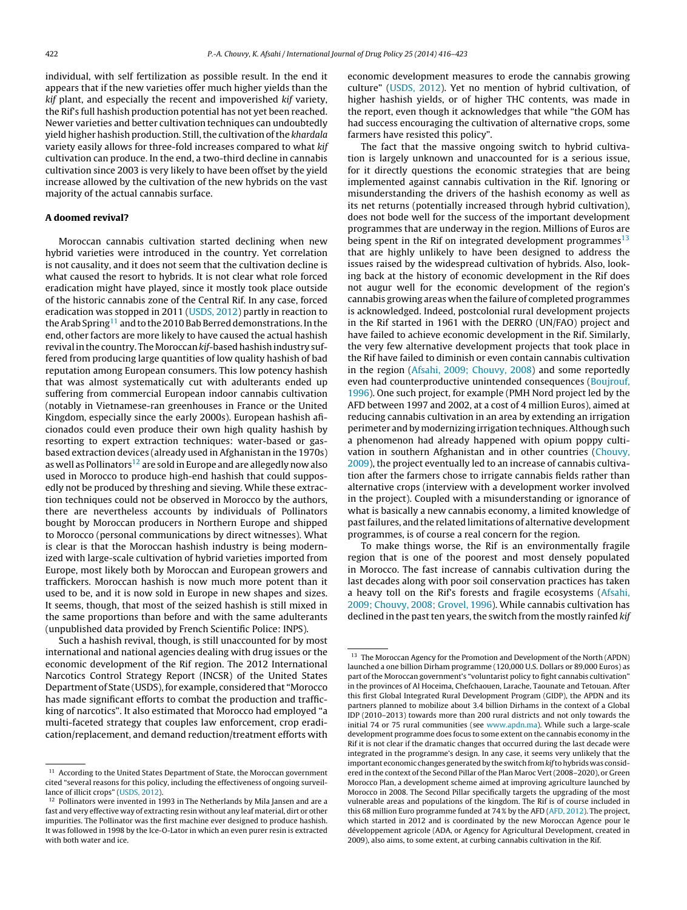individual, with self fertilization as possible result. In the end it appears that if the new varieties offer much higher yields than the kif plant, and especially the recent and impoverished kif variety, the Rif's full hashish production potential has not yet been reached. Newer varieties and better cultivation techniques can undoubtedly yield higher hashish production. Still, the cultivation of the khardala variety easily allows for three-fold increases compared to what kif cultivation can produce. In the end, a two-third decline in cannabis cultivation since 2003 is very likely to have been offset by the yield increase allowed by the cultivation of the new hybrids on the vast majority of the actual cannabis surface.

# **A doomed revival?**

Moroccan cannabis cultivation started declining when new hybrid varieties were introduced in the country. Yet correlation is not causality, and it does not seem that the cultivation decline is what caused the resort to hybrids. It is not clear what role forced eradication might have played, since it mostly took place outside of the historic cannabis zone of the Central Rif. In any case, forced eradication was stopped in 2011 ([USDS,](#page-7-0) [2012\)](#page-7-0) partly in reaction to the Arab Spring<sup>11</sup> and to the 2010 Bab Berred demonstrations. In the end, other factors are more likely to have caused the actual hashish revival in the country. The Moroccan kif-based hashish industry suffered from producing large quantities of low quality hashish of bad reputation among European consumers. This low potency hashish that was almost systematically cut with adulterants ended up suffering from commercial European indoor cannabis cultivation (notably in Vietnamese-ran greenhouses in France or the United Kingdom, especially since the early 2000s). European hashish aficionados could even produce their own high quality hashish by resorting to expert extraction techniques: water-based or gasbased extraction devices (already used in Afghanistan in the 1970s) as well as Pollinators<sup>12</sup> are sold in Europe and are allegedly now also used in Morocco to produce high-end hashish that could supposedly not be produced by threshing and sieving. While these extraction techniques could not be observed in Morocco by the authors, there are nevertheless accounts by individuals of Pollinators bought by Moroccan producers in Northern Europe and shipped to Morocco (personal communications by direct witnesses). What is clear is that the Moroccan hashish industry is being modernized with large-scale cultivation of hybrid varieties imported from Europe, most likely both by Moroccan and European growers and traffickers. Moroccan hashish is now much more potent than it used to be, and it is now sold in Europe in new shapes and sizes. It seems, though, that most of the seized hashish is still mixed in the same proportions than before and with the same adulterants (unpublished data provided by French Scientific Police: INPS).

Such a hashish revival, though, is still unaccounted for by most international and national agencies dealing with drug issues or the economic development of the Rif region. The 2012 International Narcotics Control Strategy Report (INCSR) of the United States Department of State (USDS), for example, considered that "Morocco has made significant efforts to combat the production and trafficking of narcotics". It also estimated that Morocco had employed "a multi-faceted strategy that couples law enforcement, crop eradication/replacement, and demand reduction/treatment efforts with

economic development measures to erode the cannabis growing culture" ([USDS,](#page-7-0) [2012\).](#page-7-0) Yet no mention of hybrid cultivation, of higher hashish yields, or of higher THC contents, was made in the report, even though it acknowledges that while "the GOM has had success encouraging the cultivation of alternative crops, some farmers have resisted this policy".

The fact that the massive ongoing switch to hybrid cultivation is largely unknown and unaccounted for is a serious issue, for it directly questions the economic strategies that are being implemented against cannabis cultivation in the Rif. Ignoring or misunderstanding the drivers of the hashish economy as well as its net returns (potentially increased through hybrid cultivation), does not bode well for the success of the important development programmes that are underway in the region. Millions of Euros are being spent in the Rif on integrated development programmes<sup>13</sup> that are highly unlikely to have been designed to address the issues raised by the widespread cultivation of hybrids. Also, looking back at the history of economic development in the Rif does not augur well for the economic development of the region's cannabis growing areas when the failure of completed programmes is acknowledged. Indeed, postcolonial rural development projects in the Rif started in 1961 with the DERRO (UN/FAO) project and have failed to achieve economic development in the Rif. Similarly, the very few alternative development projects that took place in the Rif have failed to diminish or even contain cannabis cultivation in the region [\(Afsahi,](#page-7-0) [2009;](#page-7-0) [Chouvy,](#page-7-0) [2008\)](#page-7-0) and some reportedly even had counterproductive unintended consequences ([Boujrouf,](#page-7-0) [1996\).](#page-7-0) One such project, for example (PMH Nord project led by the AFD between 1997 and 2002, at a cost of 4 million Euros), aimed at reducing cannabis cultivation in an area by extending an irrigation perimeter and by modernizing irrigation techniques. Although such a phenomenon had already happened with opium poppy cultivation in southern Afghanistan and in other countries [\(Chouvy,](#page-7-0) [2009\),](#page-7-0) the project eventually led to an increase of cannabis cultivation after the farmers chose to irrigate cannabis fields rather than alternative crops (interview with a development worker involved in the project). Coupled with a misunderstanding or ignorance of what is basically a new cannabis economy, a limited knowledge of past failures, and the related limitations of alternative development programmes, is of course a real concern for the region.

To make things worse, the Rif is an environmentally fragile region that is one of the poorest and most densely populated in Morocco. The fast increase of cannabis cultivation during the last decades along with poor soil conservation practices has taken a heavy toll on the Rif's forests and fragile ecosystems [\(Afsahi,](#page-7-0) [2009;](#page-7-0) [Chouvy,](#page-7-0) [2008;](#page-7-0) [Grovel,](#page-7-0) [1996\).](#page-7-0) While cannabis cultivation has declined in the past ten years, the switch from the mostly rainfed kif

<sup>&</sup>lt;sup>11</sup> According to the United States Department of State, the Moroccan government cited "several reasons for this policy, including the effectiveness of ongoing surveillance of illicit crops" [\(USDS,](#page-7-0) [2012\).](#page-7-0)

<sup>&</sup>lt;sup>12</sup> Pollinators were invented in 1993 in The Netherlands by Mila Jansen and are a fast and very effective way of extracting resin without any leaf material, dirt or other impurities. The Pollinator was the first machine ever designed to produce hashish. It was followed in 1998 by the Ice-O-Lator in which an even purer resin is extracted with both water and ice.

<sup>&</sup>lt;sup>13</sup> The Moroccan Agency for the Promotion and Development of the North (APDN) launched a one billion Dirham programme (120,000 U.S. Dollars or 89,000 Euros) as part of the Moroccan government's "voluntarist policy to fight cannabis cultivation" in the provinces of Al Hoceima, Chefchaouen, Larache, Taounate and Tetouan. After this first Global Integrated Rural Development Program (GIDP), the APDN and its partners planned to mobilize about 3.4 billion Dirhams in the context of a Global IDP (2010–2013) towards more than 200 rural districts and not only towards the initial 74 or 75 rural communities (see [www.apdn.ma](http://www.apdn.ma/)). While such a large-scale development programme does focus to some extent on the cannabis economy in the Rif it is not clear if the dramatic changes that occurred during the last decade were integrated in the programme's design. In any case, it seems very unlikely that the important economic changes generated by the switch from kif to hybrids was considered in the context of the Second Pillar of the Plan Maroc Vert (2008–2020), or Green Morocco Plan, a development scheme aimed at improving agriculture launched by Morocco in 2008. The Second Pillar specifically targets the upgrading of the most vulnerable areas and populations of the kingdom. The Rif is of course included in this 68 million Euro programme funded at 74 % by the AFD ([AFD,](#page-7-0) [2012\).](#page-7-0) The project, which started in 2012 and is coordinated by the new Moroccan Agence pour le développement agricole (ADA, or Agency for Agricultural Development, created in 2009), also aims, to some extent, at curbing cannabis cultivation in the Rif.